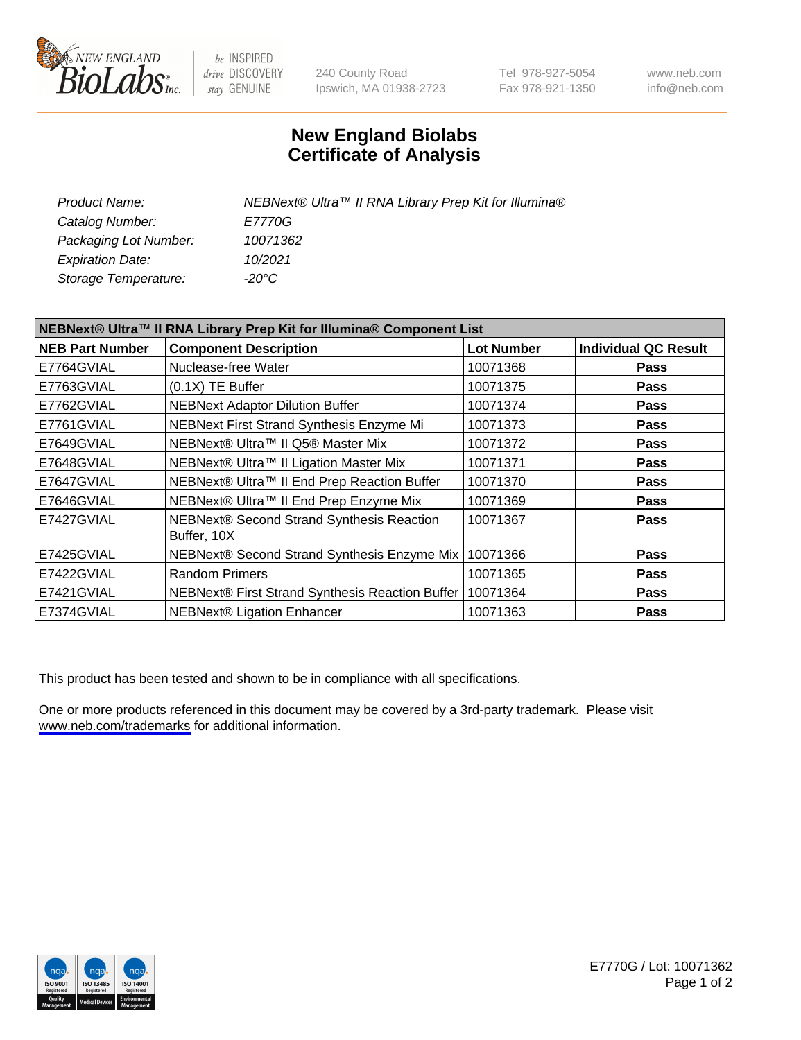

be INSPIRED drive DISCOVERY stay GENUINE

240 County Road Ipswich, MA 01938-2723 Tel 978-927-5054 Fax 978-921-1350

www.neb.com info@neb.com

## **New England Biolabs Certificate of Analysis**

| Product Name:           | NEBNext® Ultra™ II RNA Library Prep Kit for Illumina® |
|-------------------------|-------------------------------------------------------|
| Catalog Number:         | <i>E7770G</i>                                         |
| Packaging Lot Number:   | 10071362                                              |
| <b>Expiration Date:</b> | 10/2021                                               |
| Storage Temperature:    | -20°C                                                 |

| NEBNext® Ultra™ II RNA Library Prep Kit for Illumina® Component List |                                                          |                   |                             |
|----------------------------------------------------------------------|----------------------------------------------------------|-------------------|-----------------------------|
| <b>NEB Part Number</b>                                               | <b>Component Description</b>                             | <b>Lot Number</b> | <b>Individual QC Result</b> |
| E7764GVIAL                                                           | Nuclease-free Water                                      | 10071368          | <b>Pass</b>                 |
| E7763GVIAL                                                           | $(0.1X)$ TE Buffer                                       | 10071375          | <b>Pass</b>                 |
| E7762GVIAL                                                           | <b>NEBNext Adaptor Dilution Buffer</b>                   | 10071374          | <b>Pass</b>                 |
| E7761GVIAL                                                           | NEBNext First Strand Synthesis Enzyme Mi                 | 10071373          | <b>Pass</b>                 |
| E7649GVIAL                                                           | NEBNext® Ultra™ II Q5® Master Mix                        | 10071372          | <b>Pass</b>                 |
| E7648GVIAL                                                           | NEBNext® Ultra™ II Ligation Master Mix                   | 10071371          | <b>Pass</b>                 |
| E7647GVIAL                                                           | NEBNext® Ultra™ II End Prep Reaction Buffer              | 10071370          | <b>Pass</b>                 |
| E7646GVIAL                                                           | NEBNext® Ultra™ II End Prep Enzyme Mix                   | 10071369          | <b>Pass</b>                 |
| E7427GVIAL                                                           | NEBNext® Second Strand Synthesis Reaction<br>Buffer, 10X | 10071367          | <b>Pass</b>                 |
| E7425GVIAL                                                           | NEBNext® Second Strand Synthesis Enzyme Mix              | 10071366          | <b>Pass</b>                 |
| E7422GVIAL                                                           | <b>Random Primers</b>                                    | 10071365          | <b>Pass</b>                 |
| E7421GVIAL                                                           | NEBNext® First Strand Synthesis Reaction Buffer          | 10071364          | <b>Pass</b>                 |
| E7374GVIAL                                                           | <b>NEBNext® Ligation Enhancer</b>                        | 10071363          | <b>Pass</b>                 |

This product has been tested and shown to be in compliance with all specifications.

One or more products referenced in this document may be covered by a 3rd-party trademark. Please visit <www.neb.com/trademarks>for additional information.



E7770G / Lot: 10071362 Page 1 of 2